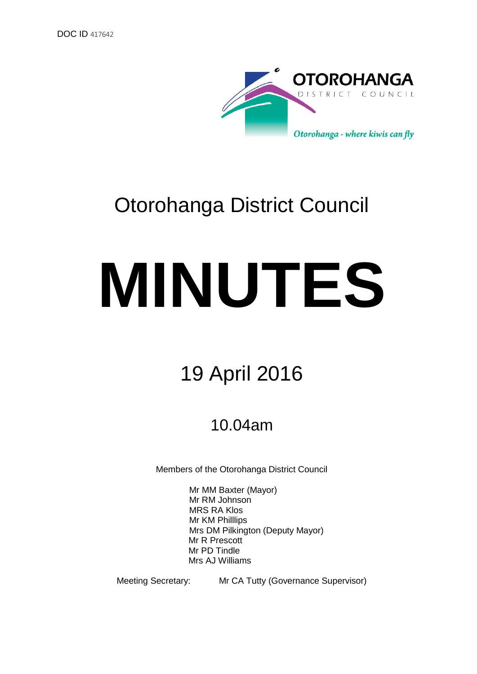

## Otorohanga District Council

# **MINUTES**

## 19 April 2016

### 10.04am

Members of the Otorohanga District Council

Mr MM Baxter (Mayor) Mr RM Johnson MRS RA Klos Mr KM Philllips Mrs DM Pilkington (Deputy Mayor) Mr R Prescott Mr PD Tindle Mrs AJ Williams

Meeting Secretary: Mr CA Tutty (Governance Supervisor)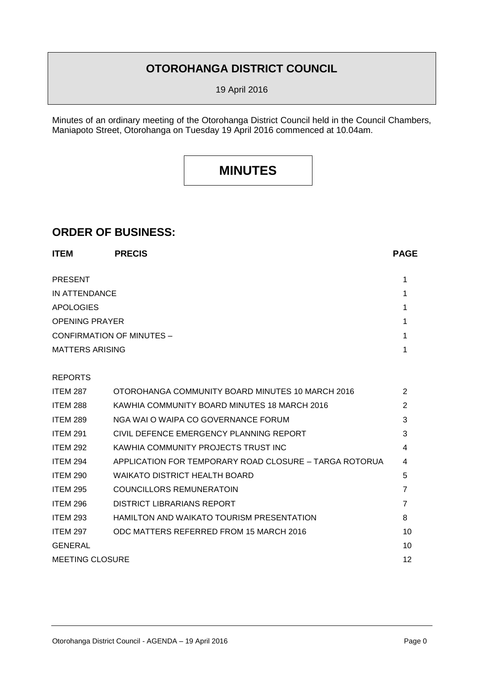#### **OTOROHANGA DISTRICT COUNCIL**

19 April 2016

Minutes of an ordinary meeting of the Otorohanga District Council held in the Council Chambers, Maniapoto Street, Otorohanga on Tuesday 19 April 2016 commenced at 10.04am.

#### **MINUTES**

#### **ORDER OF BUSINESS:**

| <b>ITEM</b>                      | <b>PRECIS</b>                                          | <b>PAGE</b>    |
|----------------------------------|--------------------------------------------------------|----------------|
| <b>PRESENT</b>                   |                                                        | 1              |
| IN ATTENDANCE                    |                                                        | 1              |
| <b>APOLOGIES</b>                 |                                                        | 1              |
| <b>OPENING PRAYER</b>            |                                                        | 1              |
| <b>CONFIRMATION OF MINUTES -</b> |                                                        | 1              |
| <b>MATTERS ARISING</b>           |                                                        | 1              |
| <b>REPORTS</b>                   |                                                        |                |
| <b>ITEM 287</b>                  | OTOROHANGA COMMUNITY BOARD MINUTES 10 MARCH 2016       | 2              |
| <b>ITEM 288</b>                  | KAWHIA COMMUNITY BOARD MINUTES 18 MARCH 2016           | 2              |
| <b>ITEM 289</b>                  | NGA WAI O WAIPA CO GOVERNANCE FORUM                    | 3              |
| <b>ITEM 291</b>                  | CIVIL DEFENCE EMERGENCY PLANNING REPORT                | 3              |
| <b>ITEM 292</b>                  | KAWHIA COMMUNITY PROJECTS TRUST INC                    | 4              |
| <b>ITEM 294</b>                  | APPLICATION FOR TEMPORARY ROAD CLOSURE - TARGA ROTORUA | 4              |
| <b>ITEM 290</b>                  | <b>WAIKATO DISTRICT HEALTH BOARD</b>                   | 5              |
| <b>ITEM 295</b>                  | <b>COUNCILLORS REMUNERATOIN</b>                        | $\overline{7}$ |
| <b>ITEM 296</b>                  | DISTRICT LIBRARIANS REPORT                             | $\overline{7}$ |
| <b>ITEM 293</b>                  | HAMILTON AND WAIKATO TOURISM PRESENTATION              | 8              |
| <b>ITEM 297</b>                  | ODC MATTERS REFERRED FROM 15 MARCH 2016                | 10             |
| <b>GENERAL</b>                   |                                                        | 10             |
| <b>MEETING CLOSURE</b>           |                                                        | 12             |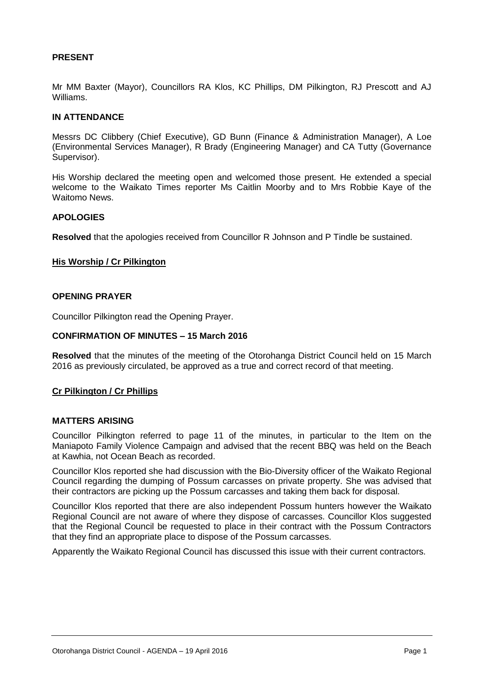#### **PRESENT**

Mr MM Baxter (Mayor), Councillors RA Klos, KC Phillips, DM Pilkington, RJ Prescott and AJ Williams.

#### **IN ATTENDANCE**

Messrs DC Clibbery (Chief Executive), GD Bunn (Finance & Administration Manager), A Loe (Environmental Services Manager), R Brady (Engineering Manager) and CA Tutty (Governance Supervisor).

His Worship declared the meeting open and welcomed those present. He extended a special welcome to the Waikato Times reporter Ms Caitlin Moorby and to Mrs Robbie Kaye of the Waitomo News.

#### **APOLOGIES**

**Resolved** that the apologies received from Councillor R Johnson and P Tindle be sustained.

#### **His Worship / Cr Pilkington**

#### **OPENING PRAYER**

Councillor Pilkington read the Opening Prayer.

#### **CONFIRMATION OF MINUTES – 15 March 2016**

**Resolved** that the minutes of the meeting of the Otorohanga District Council held on 15 March 2016 as previously circulated, be approved as a true and correct record of that meeting.

#### **Cr Pilkington / Cr Phillips**

#### **MATTERS ARISING**

Councillor Pilkington referred to page 11 of the minutes, in particular to the Item on the Maniapoto Family Violence Campaign and advised that the recent BBQ was held on the Beach at Kawhia, not Ocean Beach as recorded.

Councillor Klos reported she had discussion with the Bio-Diversity officer of the Waikato Regional Council regarding the dumping of Possum carcasses on private property. She was advised that their contractors are picking up the Possum carcasses and taking them back for disposal.

Councillor Klos reported that there are also independent Possum hunters however the Waikato Regional Council are not aware of where they dispose of carcasses. Councillor Klos suggested that the Regional Council be requested to place in their contract with the Possum Contractors that they find an appropriate place to dispose of the Possum carcasses.

Apparently the Waikato Regional Council has discussed this issue with their current contractors.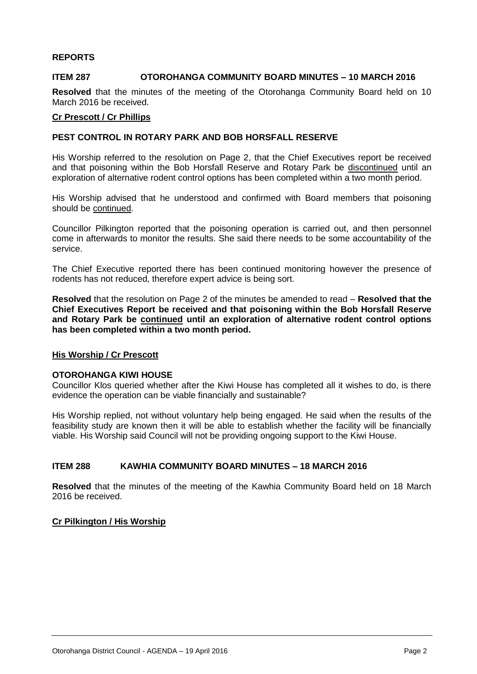#### **REPORTS**

#### **ITEM 287 OTOROHANGA COMMUNITY BOARD MINUTES – 10 MARCH 2016**

**Resolved** that the minutes of the meeting of the Otorohanga Community Board held on 10 March 2016 be received.

#### **Cr Prescott / Cr Phillips**

#### **PEST CONTROL IN ROTARY PARK AND BOB HORSFALL RESERVE**

His Worship referred to the resolution on Page 2, that the Chief Executives report be received and that poisoning within the Bob Horsfall Reserve and Rotary Park be discontinued until an exploration of alternative rodent control options has been completed within a two month period.

His Worship advised that he understood and confirmed with Board members that poisoning should be continued.

Councillor Pilkington reported that the poisoning operation is carried out, and then personnel come in afterwards to monitor the results. She said there needs to be some accountability of the service.

The Chief Executive reported there has been continued monitoring however the presence of rodents has not reduced, therefore expert advice is being sort.

**Resolved** that the resolution on Page 2 of the minutes be amended to read – **Resolved that the Chief Executives Report be received and that poisoning within the Bob Horsfall Reserve and Rotary Park be continued until an exploration of alternative rodent control options has been completed within a two month period.**

#### **His Worship / Cr Prescott**

#### **OTOROHANGA KIWI HOUSE**

Councillor Klos queried whether after the Kiwi House has completed all it wishes to do, is there evidence the operation can be viable financially and sustainable?

His Worship replied, not without voluntary help being engaged. He said when the results of the feasibility study are known then it will be able to establish whether the facility will be financially viable. His Worship said Council will not be providing ongoing support to the Kiwi House.

#### **ITEM 288 KAWHIA COMMUNITY BOARD MINUTES – 18 MARCH 2016**

**Resolved** that the minutes of the meeting of the Kawhia Community Board held on 18 March 2016 be received.

#### **Cr Pilkington / His Worship**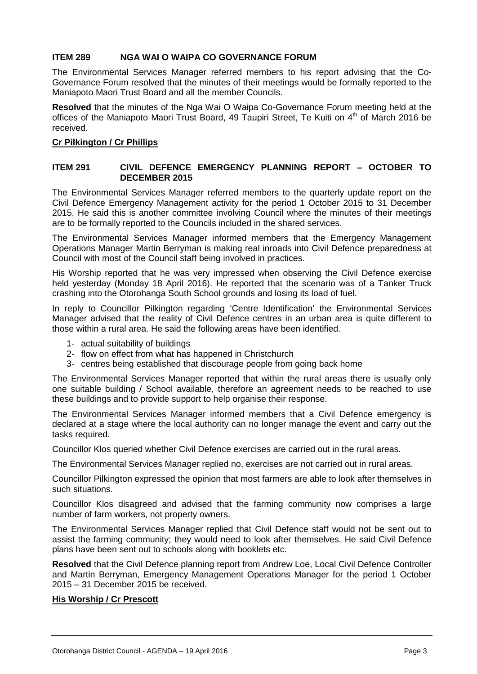#### **ITEM 289 NGA WAI O WAIPA CO GOVERNANCE FORUM**

The Environmental Services Manager referred members to his report advising that the Co-Governance Forum resolved that the minutes of their meetings would be formally reported to the Maniapoto Maori Trust Board and all the member Councils.

**Resolved** that the minutes of the Nga Wai O Waipa Co-Governance Forum meeting held at the offices of the Maniapoto Maori Trust Board, 49 Taupiri Street, Te Kuiti on 4<sup>th</sup> of March 2016 be received.

#### **Cr Pilkington / Cr Phillips**

#### **ITEM 291 CIVIL DEFENCE EMERGENCY PLANNING REPORT – OCTOBER TO DECEMBER 2015**

The Environmental Services Manager referred members to the quarterly update report on the Civil Defence Emergency Management activity for the period 1 October 2015 to 31 December 2015. He said this is another committee involving Council where the minutes of their meetings are to be formally reported to the Councils included in the shared services.

The Environmental Services Manager informed members that the Emergency Management Operations Manager Martin Berryman is making real inroads into Civil Defence preparedness at Council with most of the Council staff being involved in practices.

His Worship reported that he was very impressed when observing the Civil Defence exercise held yesterday (Monday 18 April 2016). He reported that the scenario was of a Tanker Truck crashing into the Otorohanga South School grounds and losing its load of fuel.

In reply to Councillor Pilkington regarding 'Centre Identification' the Environmental Services Manager advised that the reality of Civil Defence centres in an urban area is quite different to those within a rural area. He said the following areas have been identified.

- 1- actual suitability of buildings
- 2- flow on effect from what has happened in Christchurch
- 3- centres being established that discourage people from going back home

The Environmental Services Manager reported that within the rural areas there is usually only one suitable building / School available, therefore an agreement needs to be reached to use these buildings and to provide support to help organise their response.

The Environmental Services Manager informed members that a Civil Defence emergency is declared at a stage where the local authority can no longer manage the event and carry out the tasks required.

Councillor Klos queried whether Civil Defence exercises are carried out in the rural areas.

The Environmental Services Manager replied no, exercises are not carried out in rural areas.

Councillor Pilkington expressed the opinion that most farmers are able to look after themselves in such situations.

Councillor Klos disagreed and advised that the farming community now comprises a large number of farm workers, not property owners.

The Environmental Services Manager replied that Civil Defence staff would not be sent out to assist the farming community; they would need to look after themselves. He said Civil Defence plans have been sent out to schools along with booklets etc.

**Resolved** that the Civil Defence planning report from Andrew Loe, Local Civil Defence Controller and Martin Berryman, Emergency Management Operations Manager for the period 1 October 2015 – 31 December 2015 be received.

#### **His Worship / Cr Prescott**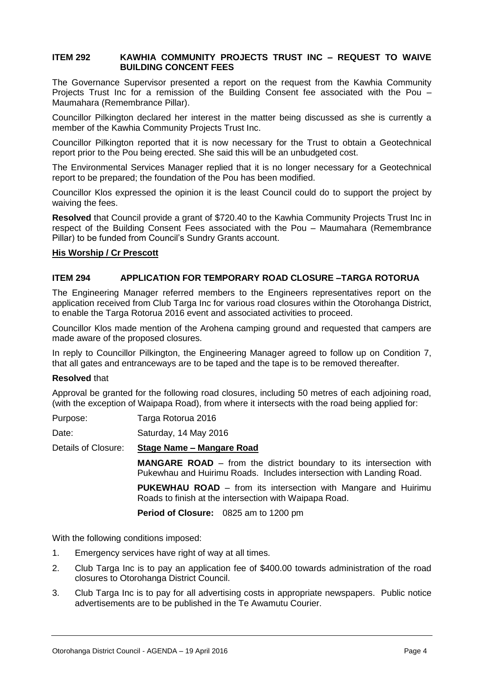#### **ITEM 292 KAWHIA COMMUNITY PROJECTS TRUST INC – REQUEST TO WAIVE BUILDING CONCENT FEES**

The Governance Supervisor presented a report on the request from the Kawhia Community Projects Trust Inc for a remission of the Building Consent fee associated with the Pou – Maumahara (Remembrance Pillar).

Councillor Pilkington declared her interest in the matter being discussed as she is currently a member of the Kawhia Community Projects Trust Inc.

Councillor Pilkington reported that it is now necessary for the Trust to obtain a Geotechnical report prior to the Pou being erected. She said this will be an unbudgeted cost.

The Environmental Services Manager replied that it is no longer necessary for a Geotechnical report to be prepared; the foundation of the Pou has been modified.

Councillor Klos expressed the opinion it is the least Council could do to support the project by waiving the fees.

**Resolved** that Council provide a grant of \$720.40 to the Kawhia Community Projects Trust Inc in respect of the Building Consent Fees associated with the Pou – Maumahara (Remembrance Pillar) to be funded from Council's Sundry Grants account.

#### **His Worship / Cr Prescott**

#### **ITEM 294 APPLICATION FOR TEMPORARY ROAD CLOSURE –TARGA ROTORUA**

The Engineering Manager referred members to the Engineers representatives report on the application received from Club Targa Inc for various road closures within the Otorohanga District, to enable the Targa Rotorua 2016 event and associated activities to proceed.

Councillor Klos made mention of the Arohena camping ground and requested that campers are made aware of the proposed closures.

In reply to Councillor Pilkington, the Engineering Manager agreed to follow up on Condition 7, that all gates and entranceways are to be taped and the tape is to be removed thereafter.

#### **Resolved** that

Approval be granted for the following road closures, including 50 metres of each adjoining road, (with the exception of Waipapa Road), from where it intersects with the road being applied for:

Date: Saturday, 14 May 2016

Details of Closure: **Stage Name – Mangare Road**

**MANGARE ROAD** – from the district boundary to its intersection with Pukewhau and Huirimu Roads. Includes intersection with Landing Road.

**PUKEWHAU ROAD** – from its intersection with Mangare and Huirimu Roads to finish at the intersection with Waipapa Road.

**Period of Closure:** 0825 am to 1200 pm

With the following conditions imposed:

- 1. Emergency services have right of way at all times.
- 2. Club Targa Inc is to pay an application fee of \$400.00 towards administration of the road closures to Otorohanga District Council.
- 3. Club Targa Inc is to pay for all advertising costs in appropriate newspapers. Public notice advertisements are to be published in the Te Awamutu Courier.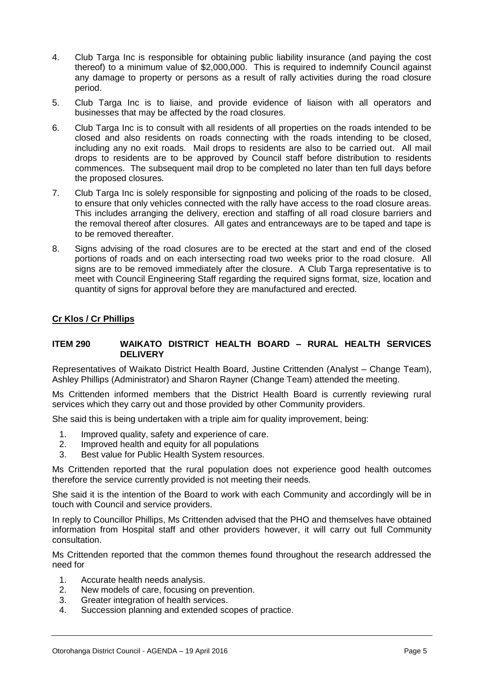- 4. Club Targa Inc is responsible for obtaining public liability insurance (and paying the cost thereof) to a minimum value of \$2,000,000. This is required to indemnify Council against any damage to property or persons as a result of rally activities during the road closure period.
- 5. Club Targa Inc is to liaise, and provide evidence of liaison with all operators and businesses that may be affected by the road closures.
- 6. Club Targa Inc is to consult with all residents of all properties on the roads intended to be closed and also residents on roads connecting with the roads intending to be closed, including any no exit roads. Mail drops to residents are also to be carried out. All mail drops to residents are to be approved by Council staff before distribution to residents commences. The subsequent mail drop to be completed no later than ten full days before the proposed closures.
- 7. Club Targa Inc is solely responsible for signposting and policing of the roads to be closed, to ensure that only vehicles connected with the rally have access to the road closure areas. This includes arranging the delivery, erection and staffing of all road closure barriers and the removal thereof after closures. All gates and entranceways are to be taped and tape is to be removed thereafter.
- 8. Signs advising of the road closures are to be erected at the start and end of the closed portions of roads and on each intersecting road two weeks prior to the road closure. All signs are to be removed immediately after the closure. A Club Targa representative is to meet with Council Engineering Staff regarding the required signs format, size, location and quantity of signs for approval before they are manufactured and erected.

#### **Cr Klos / Cr Phillips**

#### **ITEM 290 WAIKATO DISTRICT HEALTH BOARD – RURAL HEALTH SERVICES DELIVERY**

Representatives of Waikato District Health Board, Justine Crittenden (Analyst – Change Team), Ashley Phillips (Administrator) and Sharon Rayner (Change Team) attended the meeting.

Ms Crittenden informed members that the District Health Board is currently reviewing rural services which they carry out and those provided by other Community providers.

She said this is being undertaken with a triple aim for quality improvement, being:

- 1. Improved quality, safety and experience of care.
- 2. Improved health and equity for all populations
- 3. Best value for Public Health System resources.

Ms Crittenden reported that the rural population does not experience good health outcomes therefore the service currently provided is not meeting their needs.

She said it is the intention of the Board to work with each Community and accordingly will be in touch with Council and service providers.

In reply to Councillor Phillips, Ms Crittenden advised that the PHO and themselves have obtained information from Hospital staff and other providers however, it will carry out full Community consultation.

Ms Crittenden reported that the common themes found throughout the research addressed the need for

- 1. Accurate health needs analysis.
- 2. New models of care, focusing on prevention.
- 3. Greater integration of health services.
- 4. Succession planning and extended scopes of practice.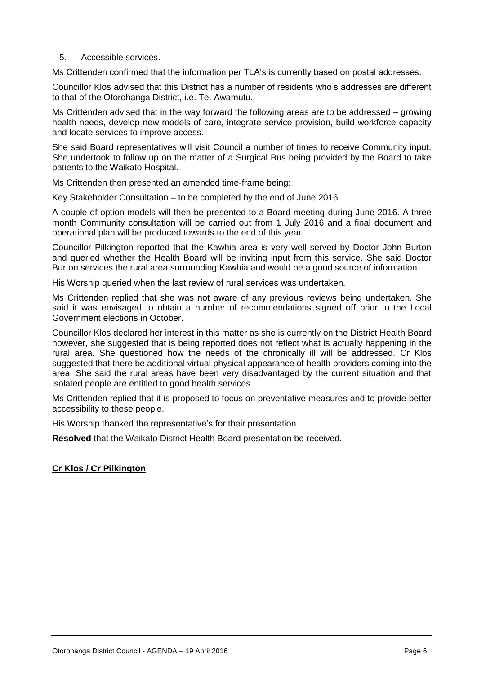5. Accessible services.

Ms Crittenden confirmed that the information per TLA's is currently based on postal addresses.

Councillor Klos advised that this District has a number of residents who's addresses are different to that of the Otorohanga District, i.e. Te. Awamutu.

Ms Crittenden advised that in the way forward the following areas are to be addressed – growing health needs, develop new models of care, integrate service provision, build workforce capacity and locate services to improve access.

She said Board representatives will visit Council a number of times to receive Community input. She undertook to follow up on the matter of a Surgical Bus being provided by the Board to take patients to the Waikato Hospital.

Ms Crittenden then presented an amended time-frame being:

Key Stakeholder Consultation – to be completed by the end of June 2016

A couple of option models will then be presented to a Board meeting during June 2016. A three month Community consultation will be carried out from 1 July 2016 and a final document and operational plan will be produced towards to the end of this year.

Councillor Pilkington reported that the Kawhia area is very well served by Doctor John Burton and queried whether the Health Board will be inviting input from this service. She said Doctor Burton services the rural area surrounding Kawhia and would be a good source of information.

His Worship queried when the last review of rural services was undertaken.

Ms Crittenden replied that she was not aware of any previous reviews being undertaken. She said it was envisaged to obtain a number of recommendations signed off prior to the Local Government elections in October.

Councillor Klos declared her interest in this matter as she is currently on the District Health Board however, she suggested that is being reported does not reflect what is actually happening in the rural area. She questioned how the needs of the chronically ill will be addressed. Cr Klos suggested that there be additional virtual physical appearance of health providers coming into the area. She said the rural areas have been very disadvantaged by the current situation and that isolated people are entitled to good health services.

Ms Crittenden replied that it is proposed to focus on preventative measures and to provide better accessibility to these people.

His Worship thanked the representative's for their presentation.

**Resolved** that the Waikato District Health Board presentation be received.

#### **Cr Klos / Cr Pilkington**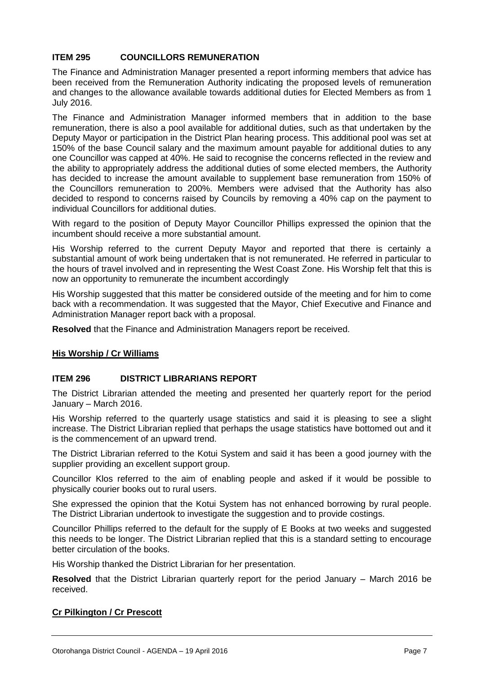#### **ITEM 295 COUNCILLORS REMUNERATION**

The Finance and Administration Manager presented a report informing members that advice has been received from the Remuneration Authority indicating the proposed levels of remuneration and changes to the allowance available towards additional duties for Elected Members as from 1 July 2016.

The Finance and Administration Manager informed members that in addition to the base remuneration, there is also a pool available for additional duties, such as that undertaken by the Deputy Mayor or participation in the District Plan hearing process. This additional pool was set at 150% of the base Council salary and the maximum amount payable for additional duties to any one Councillor was capped at 40%. He said to recognise the concerns reflected in the review and the ability to appropriately address the additional duties of some elected members, the Authority has decided to increase the amount available to supplement base remuneration from 150% of the Councillors remuneration to 200%. Members were advised that the Authority has also decided to respond to concerns raised by Councils by removing a 40% cap on the payment to individual Councillors for additional duties.

With regard to the position of Deputy Mayor Councillor Phillips expressed the opinion that the incumbent should receive a more substantial amount.

His Worship referred to the current Deputy Mayor and reported that there is certainly a substantial amount of work being undertaken that is not remunerated. He referred in particular to the hours of travel involved and in representing the West Coast Zone. His Worship felt that this is now an opportunity to remunerate the incumbent accordingly

His Worship suggested that this matter be considered outside of the meeting and for him to come back with a recommendation. It was suggested that the Mayor, Chief Executive and Finance and Administration Manager report back with a proposal.

**Resolved** that the Finance and Administration Managers report be received.

#### **His Worship / Cr Williams**

#### **ITEM 296 DISTRICT LIBRARIANS REPORT**

The District Librarian attended the meeting and presented her quarterly report for the period January – March 2016.

His Worship referred to the quarterly usage statistics and said it is pleasing to see a slight increase. The District Librarian replied that perhaps the usage statistics have bottomed out and it is the commencement of an upward trend.

The District Librarian referred to the Kotui System and said it has been a good journey with the supplier providing an excellent support group.

Councillor Klos referred to the aim of enabling people and asked if it would be possible to physically courier books out to rural users.

She expressed the opinion that the Kotui System has not enhanced borrowing by rural people. The District Librarian undertook to investigate the suggestion and to provide costings.

Councillor Phillips referred to the default for the supply of E Books at two weeks and suggested this needs to be longer. The District Librarian replied that this is a standard setting to encourage better circulation of the books.

His Worship thanked the District Librarian for her presentation.

**Resolved** that the District Librarian quarterly report for the period January – March 2016 be received.

#### **Cr Pilkington / Cr Prescott**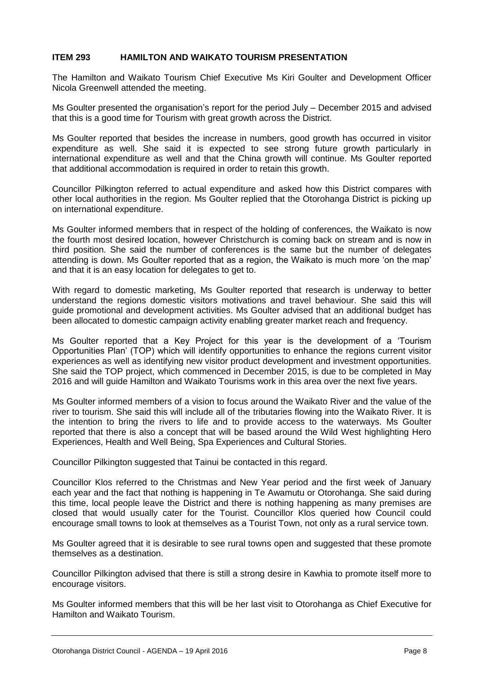#### **ITEM 293 HAMILTON AND WAIKATO TOURISM PRESENTATION**

The Hamilton and Waikato Tourism Chief Executive Ms Kiri Goulter and Development Officer Nicola Greenwell attended the meeting.

Ms Goulter presented the organisation's report for the period July – December 2015 and advised that this is a good time for Tourism with great growth across the District.

Ms Goulter reported that besides the increase in numbers, good growth has occurred in visitor expenditure as well. She said it is expected to see strong future growth particularly in international expenditure as well and that the China growth will continue. Ms Goulter reported that additional accommodation is required in order to retain this growth.

Councillor Pilkington referred to actual expenditure and asked how this District compares with other local authorities in the region. Ms Goulter replied that the Otorohanga District is picking up on international expenditure.

Ms Goulter informed members that in respect of the holding of conferences, the Waikato is now the fourth most desired location, however Christchurch is coming back on stream and is now in third position. She said the number of conferences is the same but the number of delegates attending is down. Ms Goulter reported that as a region, the Waikato is much more 'on the map' and that it is an easy location for delegates to get to.

With regard to domestic marketing, Ms Goulter reported that research is underway to better understand the regions domestic visitors motivations and travel behaviour. She said this will guide promotional and development activities. Ms Goulter advised that an additional budget has been allocated to domestic campaign activity enabling greater market reach and frequency.

Ms Goulter reported that a Key Project for this year is the development of a 'Tourism Opportunities Plan' (TOP) which will identify opportunities to enhance the regions current visitor experiences as well as identifying new visitor product development and investment opportunities. She said the TOP project, which commenced in December 2015, is due to be completed in May 2016 and will guide Hamilton and Waikato Tourisms work in this area over the next five years.

Ms Goulter informed members of a vision to focus around the Waikato River and the value of the river to tourism. She said this will include all of the tributaries flowing into the Waikato River. It is the intention to bring the rivers to life and to provide access to the waterways. Ms Goulter reported that there is also a concept that will be based around the Wild West highlighting Hero Experiences, Health and Well Being, Spa Experiences and Cultural Stories.

Councillor Pilkington suggested that Tainui be contacted in this regard.

Councillor Klos referred to the Christmas and New Year period and the first week of January each year and the fact that nothing is happening in Te Awamutu or Otorohanga. She said during this time, local people leave the District and there is nothing happening as many premises are closed that would usually cater for the Tourist. Councillor Klos queried how Council could encourage small towns to look at themselves as a Tourist Town, not only as a rural service town.

Ms Goulter agreed that it is desirable to see rural towns open and suggested that these promote themselves as a destination.

Councillor Pilkington advised that there is still a strong desire in Kawhia to promote itself more to encourage visitors.

Ms Goulter informed members that this will be her last visit to Otorohanga as Chief Executive for Hamilton and Waikato Tourism.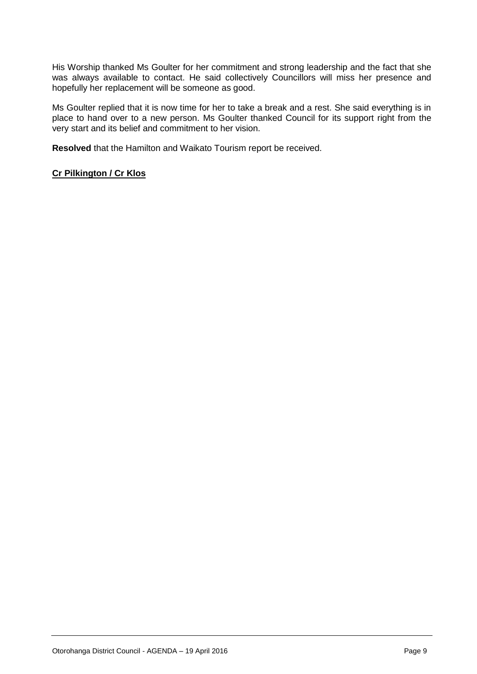His Worship thanked Ms Goulter for her commitment and strong leadership and the fact that she was always available to contact. He said collectively Councillors will miss her presence and hopefully her replacement will be someone as good.

Ms Goulter replied that it is now time for her to take a break and a rest. She said everything is in place to hand over to a new person. Ms Goulter thanked Council for its support right from the very start and its belief and commitment to her vision.

**Resolved** that the Hamilton and Waikato Tourism report be received.

#### **Cr Pilkington / Cr Klos**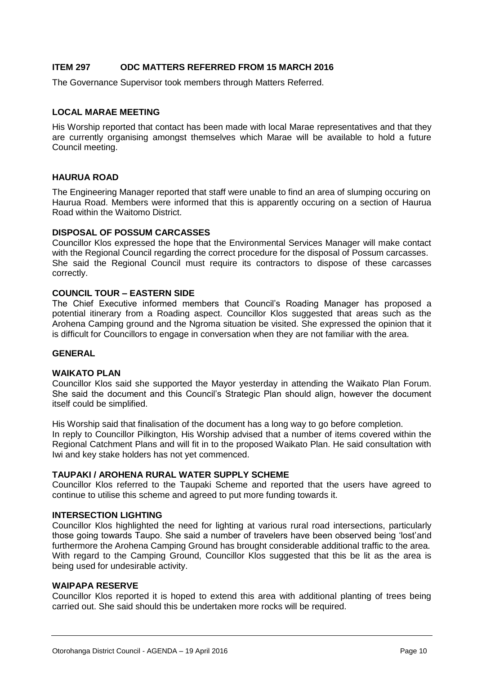#### **ITEM 297 ODC MATTERS REFERRED FROM 15 MARCH 2016**

The Governance Supervisor took members through Matters Referred.

#### **LOCAL MARAE MEETING**

His Worship reported that contact has been made with local Marae representatives and that they are currently organising amongst themselves which Marae will be available to hold a future Council meeting.

#### **HAURUA ROAD**

The Engineering Manager reported that staff were unable to find an area of slumping occuring on Haurua Road. Members were informed that this is apparently occuring on a section of Haurua Road within the Waitomo District.

#### **DISPOSAL OF POSSUM CARCASSES**

Councillor Klos expressed the hope that the Environmental Services Manager will make contact with the Regional Council regarding the correct procedure for the disposal of Possum carcasses. She said the Regional Council must require its contractors to dispose of these carcasses correctly.

#### **COUNCIL TOUR – EASTERN SIDE**

The Chief Executive informed members that Council's Roading Manager has proposed a potential itinerary from a Roading aspect. Councillor Klos suggested that areas such as the Arohena Camping ground and the Ngroma situation be visited. She expressed the opinion that it is difficult for Councillors to engage in conversation when they are not familiar with the area.

#### **GENERAL**

#### **WAIKATO PLAN**

Councillor Klos said she supported the Mayor yesterday in attending the Waikato Plan Forum. She said the document and this Council's Strategic Plan should align, however the document itself could be simplified.

His Worship said that finalisation of the document has a long way to go before completion. In reply to Councillor Pilkington, His Worship advised that a number of items covered within the Regional Catchment Plans and will fit in to the proposed Waikato Plan. He said consultation with Iwi and key stake holders has not yet commenced.

#### **TAUPAKI / AROHENA RURAL WATER SUPPLY SCHEME**

Councillor Klos referred to the Taupaki Scheme and reported that the users have agreed to continue to utilise this scheme and agreed to put more funding towards it.

#### **INTERSECTION LIGHTING**

Councillor Klos highlighted the need for lighting at various rural road intersections, particularly those going towards Taupo. She said a number of travelers have been observed being 'lost'and furthermore the Arohena Camping Ground has brought considerable additional traffic to the area. With regard to the Camping Ground, Councillor Klos suggested that this be lit as the area is being used for undesirable activity.

#### **WAIPAPA RESERVE**

Councillor Klos reported it is hoped to extend this area with additional planting of trees being carried out. She said should this be undertaken more rocks will be required.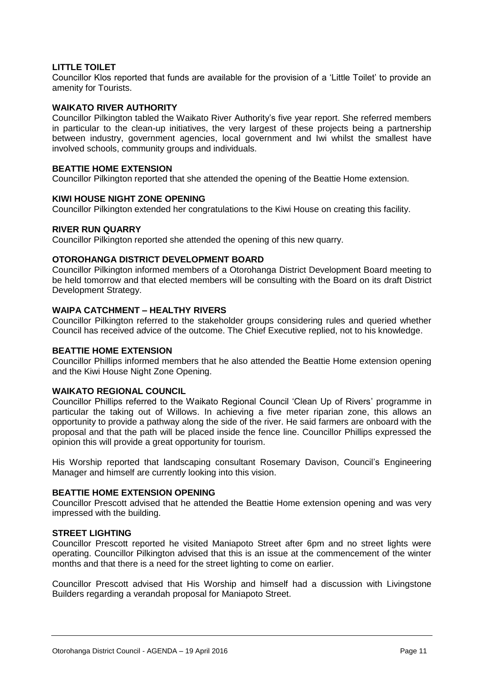#### **LITTLE TOILET**

Councillor Klos reported that funds are available for the provision of a 'Little Toilet' to provide an amenity for Tourists.

#### **WAIKATO RIVER AUTHORITY**

Councillor Pilkington tabled the Waikato River Authority's five year report. She referred members in particular to the clean-up initiatives, the very largest of these projects being a partnership between industry, government agencies, local government and Iwi whilst the smallest have involved schools, community groups and individuals.

#### **BEATTIE HOME EXTENSION**

Councillor Pilkington reported that she attended the opening of the Beattie Home extension.

#### **KIWI HOUSE NIGHT ZONE OPENING**

Councillor Pilkington extended her congratulations to the Kiwi House on creating this facility.

#### **RIVER RUN QUARRY**

Councillor Pilkington reported she attended the opening of this new quarry.

#### **OTOROHANGA DISTRICT DEVELOPMENT BOARD**

Councillor Pilkington informed members of a Otorohanga District Development Board meeting to be held tomorrow and that elected members will be consulting with the Board on its draft District Development Strategy.

#### **WAIPA CATCHMENT – HEALTHY RIVERS**

Councillor Pilkington referred to the stakeholder groups considering rules and queried whether Council has received advice of the outcome. The Chief Executive replied, not to his knowledge.

#### **BEATTIE HOME EXTENSION**

Councillor Phillips informed members that he also attended the Beattie Home extension opening and the Kiwi House Night Zone Opening.

#### **WAIKATO REGIONAL COUNCIL**

Councillor Phillips referred to the Waikato Regional Council 'Clean Up of Rivers' programme in particular the taking out of Willows. In achieving a five meter riparian zone, this allows an opportunity to provide a pathway along the side of the river. He said farmers are onboard with the proposal and that the path will be placed inside the fence line. Councillor Phillips expressed the opinion this will provide a great opportunity for tourism.

His Worship reported that landscaping consultant Rosemary Davison, Council's Engineering Manager and himself are currently looking into this vision.

#### **BEATTIE HOME EXTENSION OPENING**

Councillor Prescott advised that he attended the Beattie Home extension opening and was very impressed with the building.

#### **STREET LIGHTING**

Councillor Prescott reported he visited Maniapoto Street after 6pm and no street lights were operating. Councillor Pilkington advised that this is an issue at the commencement of the winter months and that there is a need for the street lighting to come on earlier.

Councillor Prescott advised that His Worship and himself had a discussion with Livingstone Builders regarding a verandah proposal for Maniapoto Street.